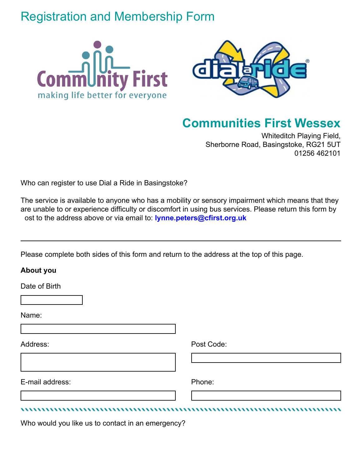## Registration and Membership Form





## **Communities First Wessex**

Whiteditch Playing Field, Sherborne Road, Basingstoke, RG21 5UT 01256 462101

Who can register to use Dial a Ride in Basingstoke?

The service is available to anyone who has a mobility or sensory impairment which means that they are unable to or experience difficulty or discomfort in using bus services. Please return this form by ost to the address above or via email to: **lynne.peters@cfirst.org.uk**

Please complete both sides of this form and return to the address at the top of this page.

## **About you**

Date of Birth

Name:

Address: Post Code:

E-mail address: Phone:

Who would you like us to contact in an emergency?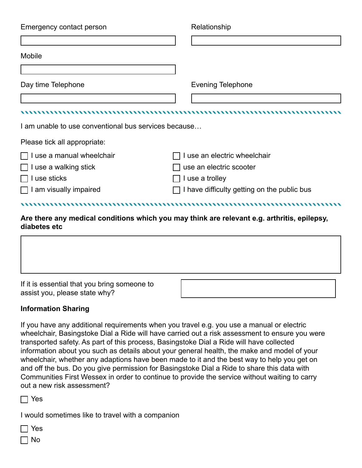| Emergency contact person                             | Relationship                                                                                |
|------------------------------------------------------|---------------------------------------------------------------------------------------------|
|                                                      |                                                                                             |
| Mobile                                               |                                                                                             |
|                                                      |                                                                                             |
| Day time Telephone                                   | <b>Evening Telephone</b>                                                                    |
|                                                      |                                                                                             |
|                                                      |                                                                                             |
| I am unable to use conventional bus services because |                                                                                             |
| Please tick all appropriate:                         |                                                                                             |
| I use a manual wheelchair                            | I use an electric wheelchair                                                                |
| I use a walking stick                                | use an electric scooter                                                                     |
| I use sticks                                         | I use a trolley                                                                             |
| I am visually impaired                               | I have difficulty getting on the public bus                                                 |
|                                                      |                                                                                             |
| diabetes etc                                         | Are there any medical conditions which you may think are relevant e.g. arthritis, epilepsy, |



## **Information Sharing**

If you have any additional requirements when you travel e.g. you use a manual or electric wheelchair, Basingstoke Dial a Ride will have carried out a risk assessment to ensure you were transported safety. As part of this process, Basingstoke Dial a Ride will have collected information about you such as details about your general health, the make and model of your wheelchair, whether any adaptions have been made to it and the best way to help you get on and off the bus. Do you give permission for Basingstoke Dial a Ride to share this data with Communities First Wessex in order to continue to provide the service without waiting to carry out a new risk assessment?

Yes

I would sometimes like to travel with a companion

Yes

 $\Box$  No